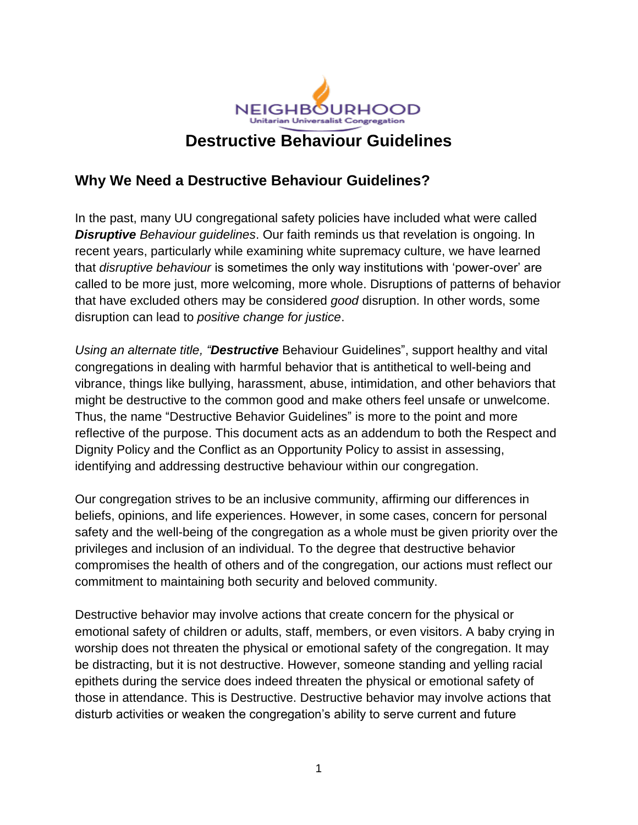

#### **Why We Need a Destructive Behaviour Guidelines?**

In the past, many UU congregational safety policies have included what were called *Disruptive Behaviour guidelines*. Our faith reminds us that revelation is ongoing. In recent years, particularly while examining white supremacy culture, we have learned that *disruptive behaviour* is sometimes the only way institutions with 'power-over' are called to be more just, more welcoming, more whole. Disruptions of patterns of behavior that have excluded others may be considered *good* disruption. In other words, some disruption can lead to *positive change for justice*.

*Using an alternate title, "Destructive* Behaviour Guidelines", support healthy and vital congregations in dealing with harmful behavior that is antithetical to well-being and vibrance, things like bullying, harassment, abuse, intimidation, and other behaviors that might be destructive to the common good and make others feel unsafe or unwelcome. Thus, the name "Destructive Behavior Guidelines" is more to the point and more reflective of the purpose. This document acts as an addendum to both the Respect and Dignity Policy and the Conflict as an Opportunity Policy to assist in assessing, identifying and addressing destructive behaviour within our congregation.

Our congregation strives to be an inclusive community, affirming our differences in beliefs, opinions, and life experiences. However, in some cases, concern for personal safety and the well-being of the congregation as a whole must be given priority over the privileges and inclusion of an individual. To the degree that destructive behavior compromises the health of others and of the congregation, our actions must reflect our commitment to maintaining both security and beloved community.

Destructive behavior may involve actions that create concern for the physical or emotional safety of children or adults, staff, members, or even visitors. A baby crying in worship does not threaten the physical or emotional safety of the congregation. It may be distracting, but it is not destructive. However, someone standing and yelling racial epithets during the service does indeed threaten the physical or emotional safety of those in attendance. This is Destructive. Destructive behavior may involve actions that disturb activities or weaken the congregation's ability to serve current and future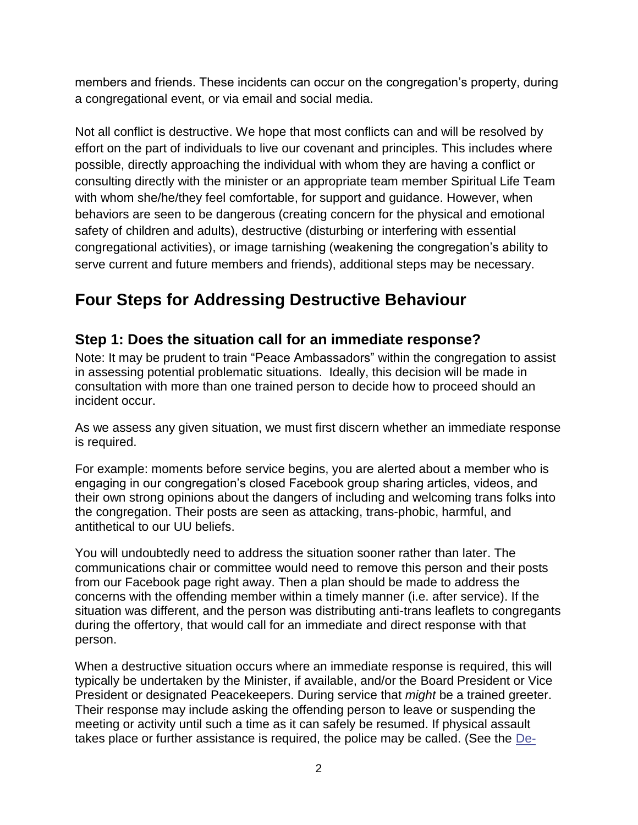members and friends. These incidents can occur on the congregation's property, during a congregational event, or via email and social media.

Not all conflict is destructive. We hope that most conflicts can and will be resolved by effort on the part of individuals to live our covenant and principles. This includes where possible, directly approaching the individual with whom they are having a conflict or consulting directly with the minister or an appropriate team member Spiritual Life Team with whom she/he/they feel comfortable, for support and guidance. However, when behaviors are seen to be dangerous (creating concern for the physical and emotional safety of children and adults), destructive (disturbing or interfering with essential congregational activities), or image tarnishing (weakening the congregation's ability to serve current and future members and friends), additional steps may be necessary.

# **Four Steps for Addressing Destructive Behaviour**

#### **Step 1: Does the situation call for an immediate response?**

Note: It may be prudent to train "Peace Ambassadors" within the congregation to assist in assessing potential problematic situations. Ideally, this decision will be made in consultation with more than one trained person to decide how to proceed should an incident occur.

As we assess any given situation, we must first discern whether an immediate response is required.

For example: moments before service begins, you are alerted about a member who is engaging in our congregation's closed Facebook group sharing articles, videos, and their own strong opinions about the dangers of including and welcoming trans folks into the congregation. Their posts are seen as attacking, trans-phobic, harmful, and antithetical to our UU beliefs.

You will undoubtedly need to address the situation sooner rather than later. The communications chair or committee would need to remove this person and their posts from our Facebook page right away. Then a plan should be made to address the concerns with the offending member within a timely manner (i.e. after service). If the situation was different, and the person was distributing anti-trans leaflets to congregants during the offertory, that would call for an immediate and direct response with that person.

When a destructive situation occurs where an immediate response is required, this will typically be undertaken by the Minister, if available, and/or the Board President or Vice President or designated Peacekeepers. During service that *might* be a trained greeter. Their response may include asking the offending person to leave or suspending the meeting or activity until such a time as it can safely be resumed. If physical assault takes place or further assistance is required, the police may be called. (See the [De-](https://www.crisisprevention.com/Blog/June-2011/De-escalation-Tips)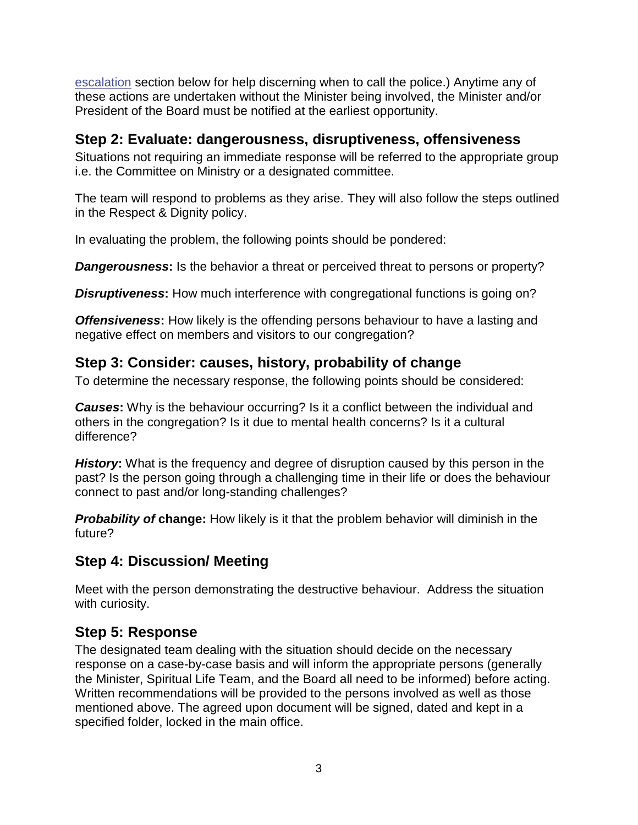escalation section below for help discerning when to call the police.) Anytime any of these actions are undertaken without the Minister being involved, the Minister and/or President of the Board must be notified at the earliest opportunity.

#### **Step 2: Evaluate: dangerousness, disruptiveness, offensiveness**

Situations not requiring an immediate response will be referred to the appropriate group i.e. the Committee on Ministry or a designated committee.

The team will respond to problems as they arise. They will also follow the steps outlined in the Respect & Dignity policy.

In evaluating the problem, the following points should be pondered:

**Dangerousness:** Is the behavior a threat or perceived threat to persons or property?

**Disruptiveness:** How much interference with congregational functions is going on?

*Offensiveness:* How likely is the offending persons behaviour to have a lasting and negative effect on members and visitors to our congregation?

## **Step 3: Consider: causes, history, probability of change**

To determine the necessary response, the following points should be considered:

**Causes:** Why is the behaviour occurring? Is it a conflict between the individual and others in the congregation? Is it due to mental health concerns? Is it a cultural difference?

*History***:** What is the frequency and degree of disruption caused by this person in the past? Is the person going through a challenging time in their life or does the behaviour connect to past and/or long-standing challenges?

*Probability of* **change:** How likely is it that the problem behavior will diminish in the future?

### **Step 4: Discussion/ Meeting**

Meet with the person demonstrating the destructive behaviour. Address the situation with curiosity.

## **Step 5: Response**

The designated team dealing with the situation should decide on the necessary response on a case-by-case basis and will inform the appropriate persons (generally the Minister, Spiritual Life Team, and the Board all need to be informed) before acting. Written recommendations will be provided to the persons involved as well as those mentioned above. The agreed upon document will be signed, dated and kept in a specified folder, locked in the main office.